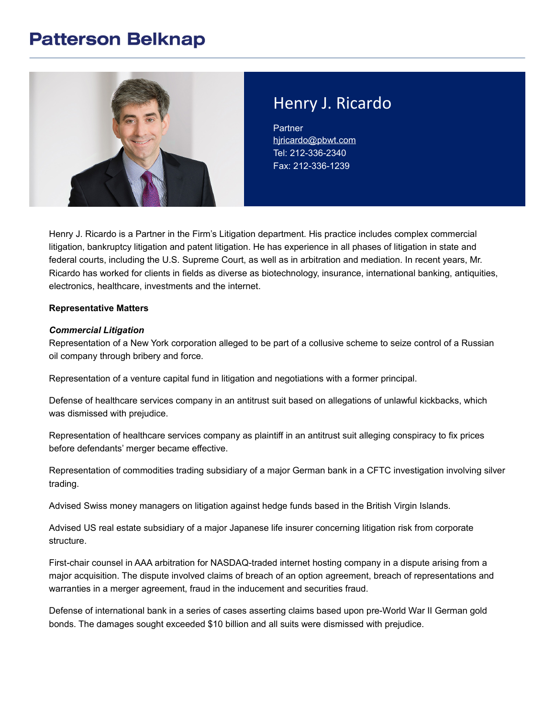### **Patterson Belknap**



# Henry J. Ricardo

**Partner** [hjricardo@pbwt.com](mailto:hjricardo@pbwt.com) Tel: 212-336-2340 Fax: 212-336-1239

Henry J. Ricardo is a Partner in the Firm's Litigation department. His practice includes complex commercial litigation, bankruptcy litigation and patent litigation. He has experience in all phases of litigation in state and federal courts, including the U.S. Supreme Court, as well as in arbitration and mediation. In recent years, Mr. Ricardo has worked for clients in fields as diverse as biotechnology, insurance, international banking, antiquities, electronics, healthcare, investments and the internet.

#### **Representative Matters**

#### *Commercial Litigation*

Representation of a New York corporation alleged to be part of a collusive scheme to seize control of a Russian oil company through bribery and force.

Representation of a venture capital fund in litigation and negotiations with a former principal.

Defense of healthcare services company in an antitrust suit based on allegations of unlawful kickbacks, which was dismissed with prejudice.

Representation of healthcare services company as plaintiff in an antitrust suit alleging conspiracy to fix prices before defendants' merger became effective.

Representation of commodities trading subsidiary of a major German bank in a CFTC investigation involving silver trading.

Advised Swiss money managers on litigation against hedge funds based in the British Virgin Islands.

Advised US real estate subsidiary of a major Japanese life insurer concerning litigation risk from corporate structure.

First-chair counsel in AAA arbitration for NASDAQ-traded internet hosting company in a dispute arising from a major acquisition. The dispute involved claims of breach of an option agreement, breach of representations and warranties in a merger agreement, fraud in the inducement and securities fraud.

Defense of international bank in a series of cases asserting claims based upon pre-World War II German gold bonds. The damages sought exceeded \$10 billion and all suits were dismissed with prejudice.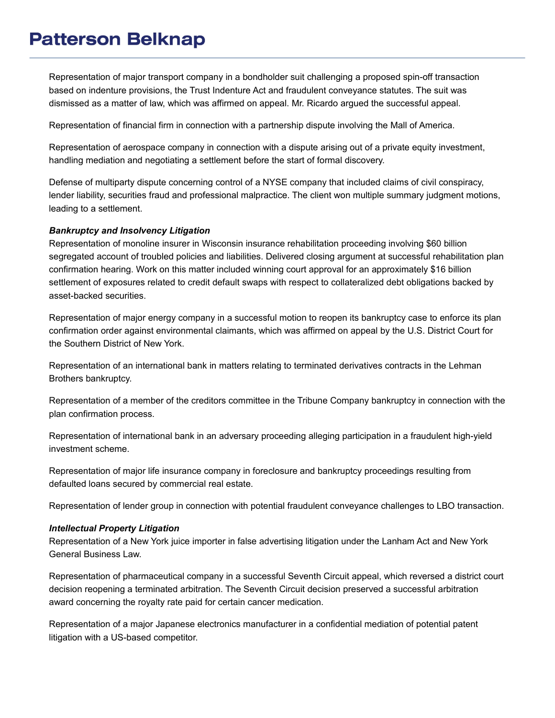# **Patterson Belknap**

Representation of major transport company in a bondholder suit challenging a proposed spin-off transaction based on indenture provisions, the Trust Indenture Act and fraudulent conveyance statutes. The suit was dismissed as a matter of law, which was affirmed on appeal. Mr. Ricardo argued the successful appeal.

Representation of financial firm in connection with a partnership dispute involving the Mall of America.

Representation of aerospace company in connection with a dispute arising out of a private equity investment, handling mediation and negotiating a settlement before the start of formal discovery.

Defense of multiparty dispute concerning control of a NYSE company that included claims of civil conspiracy, lender liability, securities fraud and professional malpractice. The client won multiple summary judgment motions, leading to a settlement.

#### *Bankruptcy and Insolvency Litigation*

Representation of monoline insurer in Wisconsin insurance rehabilitation proceeding involving \$60 billion segregated account of troubled policies and liabilities. Delivered closing argument at successful rehabilitation plan confirmation hearing. Work on this matter included winning court approval for an approximately \$16 billion settlement of exposures related to credit default swaps with respect to collateralized debt obligations backed by asset-backed securities.

Representation of major energy company in a successful motion to reopen its bankruptcy case to enforce its plan confirmation order against environmental claimants, which was affirmed on appeal by the U.S. District Court for the Southern District of New York.

Representation of an international bank in matters relating to terminated derivatives contracts in the Lehman Brothers bankruptcy.

Representation of a member of the creditors committee in the Tribune Company bankruptcy in connection with the plan confirmation process.

Representation of international bank in an adversary proceeding alleging participation in a fraudulent high-yield investment scheme.

Representation of major life insurance company in foreclosure and bankruptcy proceedings resulting from defaulted loans secured by commercial real estate.

Representation of lender group in connection with potential fraudulent conveyance challenges to LBO transaction.

#### *Intellectual Property Litigation*

Representation of a New York juice importer in false advertising litigation under the Lanham Act and New York General Business Law.

Representation of pharmaceutical company in a successful Seventh Circuit appeal, which reversed a district court decision reopening a terminated arbitration. The Seventh Circuit decision preserved a successful arbitration award concerning the royalty rate paid for certain cancer medication.

Representation of a major Japanese electronics manufacturer in a confidential mediation of potential patent litigation with a US-based competitor.